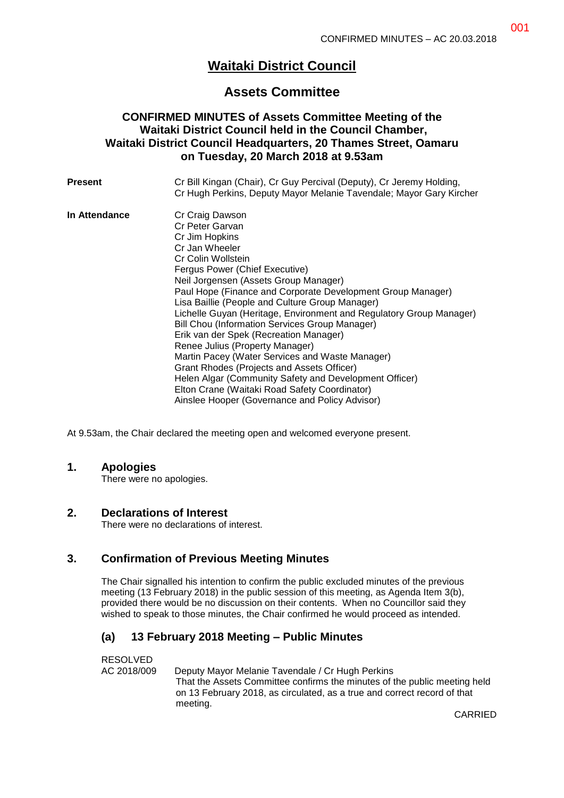# **Waitaki District Council**

## **Assets Committee**

## **CONFIRMED MINUTES of Assets Committee Meeting of the Waitaki District Council held in the Council Chamber, Waitaki District Council Headquarters, 20 Thames Street, Oamaru on Tuesday, 20 March 2018 at 9.53am**

| Present       | Cr Bill Kingan (Chair), Cr Guy Percival (Deputy), Cr Jeremy Holding,<br>Cr Hugh Perkins, Deputy Mayor Melanie Tavendale; Mayor Gary Kircher |
|---------------|---------------------------------------------------------------------------------------------------------------------------------------------|
| In Attendance | Cr Craig Dawson                                                                                                                             |
|               | Cr Peter Garvan                                                                                                                             |
|               | Cr Jim Hopkins                                                                                                                              |
|               | Cr Jan Wheeler                                                                                                                              |
|               | Cr Colin Wollstein                                                                                                                          |
|               | Fergus Power (Chief Executive)                                                                                                              |
|               | Neil Jorgensen (Assets Group Manager)                                                                                                       |
|               | Paul Hope (Finance and Corporate Development Group Manager)                                                                                 |
|               | Lisa Baillie (People and Culture Group Manager)                                                                                             |
|               | Lichelle Guyan (Heritage, Environment and Regulatory Group Manager)                                                                         |
|               | Bill Chou (Information Services Group Manager)                                                                                              |
|               | Erik van der Spek (Recreation Manager)                                                                                                      |
|               | Renee Julius (Property Manager)                                                                                                             |
|               | Martin Pacey (Water Services and Waste Manager)                                                                                             |
|               | Grant Rhodes (Projects and Assets Officer)                                                                                                  |
|               | Helen Algar (Community Safety and Development Officer)                                                                                      |
|               | Elton Crane (Waitaki Road Safety Coordinator)                                                                                               |
|               | Ainslee Hooper (Governance and Policy Advisor)                                                                                              |

At 9.53am, the Chair declared the meeting open and welcomed everyone present.

#### **1. Apologies**

There were no apologies.

#### **2. Declarations of Interest**

There were no declarations of interest.

## **3. Confirmation of Previous Meeting Minutes**

The Chair signalled his intention to confirm the public excluded minutes of the previous meeting (13 February 2018) in the public session of this meeting, as Agenda Item 3(b), provided there would be no discussion on their contents. When no Councillor said they wished to speak to those minutes, the Chair confirmed he would proceed as intended.

## **(a) 13 February 2018 Meeting – Public Minutes**

RESOLVED

AC 2018/009 Deputy Mayor Melanie Tavendale / Cr Hugh Perkins That the Assets Committee confirms the minutes of the public meeting held on 13 February 2018, as circulated, as a true and correct record of that meeting.

CARRIED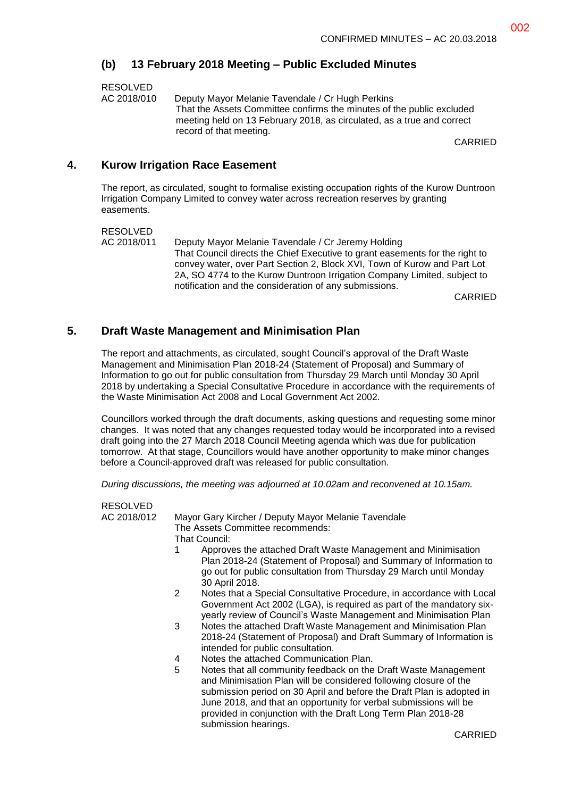#### **(b) 13 February 2018 Meeting – Public Excluded Minutes**

RESOLVED AC 2018/010 Deputy Mayor Melanie Tavendale / Cr Hugh Perkins That the Assets Committee confirms the minutes of the public excluded meeting held on 13 February 2018, as circulated, as a true and correct record of that meeting.

CARRIED

#### **4. Kurow Irrigation Race Easement**

The report, as circulated, sought to formalise existing occupation rights of the Kurow Duntroon Irrigation Company Limited to convey water across recreation reserves by granting easements.

RESOLVED

AC 2018/011 Deputy Mayor Melanie Tavendale / Cr Jeremy Holding That Council directs the Chief Executive to grant easements for the right to convey water, over Part Section 2, Block XVI, Town of Kurow and Part Lot 2A, SO 4774 to the Kurow Duntroon Irrigation Company Limited, subject to notification and the consideration of any submissions.

CARRIED

#### **5. Draft Waste Management and Minimisation Plan**

The report and attachments, as circulated, sought Council's approval of the Draft Waste Management and Minimisation Plan 2018-24 (Statement of Proposal) and Summary of Information to go out for public consultation from Thursday 29 March until Monday 30 April 2018 by undertaking a Special Consultative Procedure in accordance with the requirements of the Waste Minimisation Act 2008 and Local Government Act 2002.

Councillors worked through the draft documents, asking questions and requesting some minor changes. It was noted that any changes requested today would be incorporated into a revised draft going into the 27 March 2018 Council Meeting agenda which was due for publication tomorrow. At that stage, Councillors would have another opportunity to make minor changes before a Council-approved draft was released for public consultation.

*During discussions, the meeting was adjourned at 10.02am and reconvened at 10.15am.*

| RESOLVED    |                                                                                                                                                                                                                                                                                                                                                                                  |
|-------------|----------------------------------------------------------------------------------------------------------------------------------------------------------------------------------------------------------------------------------------------------------------------------------------------------------------------------------------------------------------------------------|
| AC 2018/012 | Mayor Gary Kircher / Deputy Mayor Melanie Tavendale<br>The Assets Committee recommends:<br>That Council:                                                                                                                                                                                                                                                                         |
|             | Approves the attached Draft Waste Management and Minimisation<br>1<br>Plan 2018-24 (Statement of Proposal) and Summary of Information to<br>go out for public consultation from Thursday 29 March until Monday<br>30 April 2018.                                                                                                                                                 |
|             | 2<br>Notes that a Special Consultative Procedure, in accordance with Local<br>Government Act 2002 (LGA), is required as part of the mandatory six-<br>yearly review of Council's Waste Management and Minimisation Plan                                                                                                                                                          |
|             | Notes the attached Draft Waste Management and Minimisation Plan<br>3<br>2018-24 (Statement of Proposal) and Draft Summary of Information is<br>intended for public consultation.                                                                                                                                                                                                 |
|             | Notes the attached Communication Plan.<br>4                                                                                                                                                                                                                                                                                                                                      |
|             | 5<br>Notes that all community feedback on the Draft Waste Management<br>and Minimisation Plan will be considered following closure of the<br>submission period on 30 April and before the Draft Plan is adopted in<br>June 2018, and that an opportunity for verbal submissions will be<br>provided in conjunction with the Draft Long Term Plan 2018-28<br>submission hearings. |
|             | CARRIFD                                                                                                                                                                                                                                                                                                                                                                          |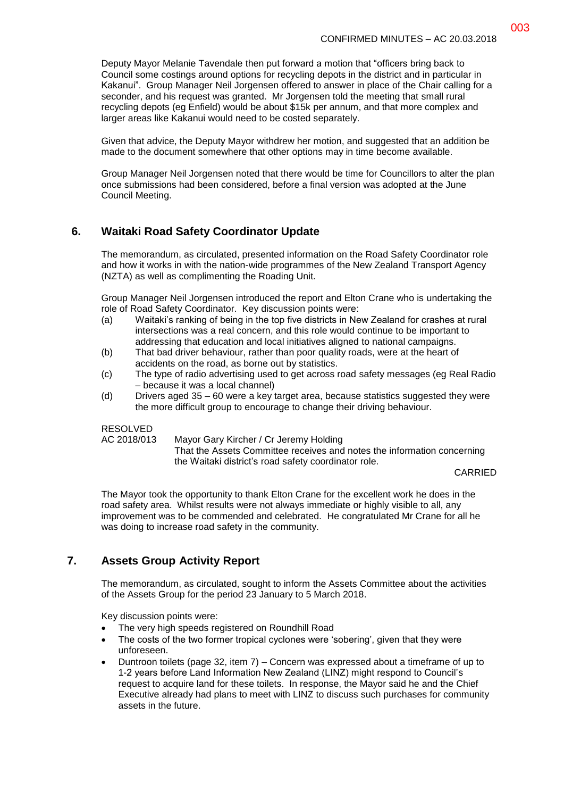Deputy Mayor Melanie Tavendale then put forward a motion that "officers bring back to Council some costings around options for recycling depots in the district and in particular in Kakanui". Group Manager Neil Jorgensen offered to answer in place of the Chair calling for a seconder, and his request was granted. Mr Jorgensen told the meeting that small rural recycling depots (eg Enfield) would be about \$15k per annum, and that more complex and larger areas like Kakanui would need to be costed separately.

Given that advice, the Deputy Mayor withdrew her motion, and suggested that an addition be made to the document somewhere that other options may in time become available.

Group Manager Neil Jorgensen noted that there would be time for Councillors to alter the plan once submissions had been considered, before a final version was adopted at the June Council Meeting.

## **6. Waitaki Road Safety Coordinator Update**

The memorandum, as circulated, presented information on the Road Safety Coordinator role and how it works in with the nation-wide programmes of the New Zealand Transport Agency (NZTA) as well as complimenting the Roading Unit.

Group Manager Neil Jorgensen introduced the report and Elton Crane who is undertaking the role of Road Safety Coordinator. Key discussion points were:

- (a) Waitaki's ranking of being in the top five districts in New Zealand for crashes at rural intersections was a real concern, and this role would continue to be important to addressing that education and local initiatives aligned to national campaigns.
- (b) That bad driver behaviour, rather than poor quality roads, were at the heart of accidents on the road, as borne out by statistics.
- (c) The type of radio advertising used to get across road safety messages (eg Real Radio – because it was a local channel)
- (d) Drivers aged 35 60 were a key target area, because statistics suggested they were the more difficult group to encourage to change their driving behaviour.

#### RESOLVED

AC 2018/013 Mayor Gary Kircher / Cr Jeremy Holding That the Assets Committee receives and notes the information concerning

the Waitaki district's road safety coordinator role.

CARRIED

The Mayor took the opportunity to thank Elton Crane for the excellent work he does in the road safety area. Whilst results were not always immediate or highly visible to all, any improvement was to be commended and celebrated. He congratulated Mr Crane for all he was doing to increase road safety in the community.

## **7. Assets Group Activity Report**

The memorandum, as circulated, sought to inform the Assets Committee about the activities of the Assets Group for the period 23 January to 5 March 2018.

Key discussion points were:

- The very high speeds registered on Roundhill Road
- The costs of the two former tropical cyclones were 'sobering', given that they were unforeseen.
- Duntroon toilets (page 32, item 7) Concern was expressed about a timeframe of up to 1-2 years before Land Information New Zealand (LINZ) might respond to Council's request to acquire land for these toilets. In response, the Mayor said he and the Chief Executive already had plans to meet with LINZ to discuss such purchases for community assets in the future.